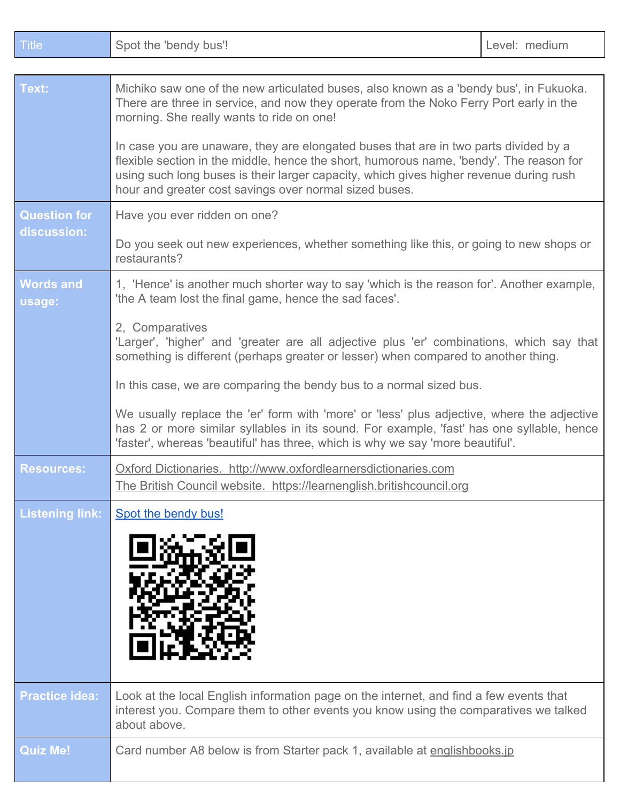| Title                              | Spot the 'bendy bus'!                                                                                                                                                                                                                                                                                                                                                                                                                                                                                                                                                | Level: medium |
|------------------------------------|----------------------------------------------------------------------------------------------------------------------------------------------------------------------------------------------------------------------------------------------------------------------------------------------------------------------------------------------------------------------------------------------------------------------------------------------------------------------------------------------------------------------------------------------------------------------|---------------|
|                                    |                                                                                                                                                                                                                                                                                                                                                                                                                                                                                                                                                                      |               |
| Text:                              | Michiko saw one of the new articulated buses, also known as a 'bendy bus', in Fukuoka.<br>There are three in service, and now they operate from the Noko Ferry Port early in the<br>morning. She really wants to ride on one!<br>In case you are unaware, they are elongated buses that are in two parts divided by a<br>flexible section in the middle, hence the short, humorous name, 'bendy'. The reason for<br>using such long buses is their larger capacity, which gives higher revenue during rush<br>hour and greater cost savings over normal sized buses. |               |
|                                    |                                                                                                                                                                                                                                                                                                                                                                                                                                                                                                                                                                      |               |
| <b>Question for</b><br>discussion: | Have you ever ridden on one?                                                                                                                                                                                                                                                                                                                                                                                                                                                                                                                                         |               |
|                                    | Do you seek out new experiences, whether something like this, or going to new shops or<br>restaurants?                                                                                                                                                                                                                                                                                                                                                                                                                                                               |               |
| <b>Words and</b><br>usage:         | 1, 'Hence' is another much shorter way to say 'which is the reason for'. Another example,<br>'the A team lost the final game, hence the sad faces'.                                                                                                                                                                                                                                                                                                                                                                                                                  |               |
|                                    | 2, Comparatives<br>'Larger', 'higher' and 'greater are all adjective plus 'er' combinations, which say that<br>something is different (perhaps greater or lesser) when compared to another thing.                                                                                                                                                                                                                                                                                                                                                                    |               |
|                                    | In this case, we are comparing the bendy bus to a normal sized bus.                                                                                                                                                                                                                                                                                                                                                                                                                                                                                                  |               |
|                                    | We usually replace the 'er' form with 'more' or 'less' plus adjective, where the adjective<br>has 2 or more similar syllables in its sound. For example, 'fast' has one syllable, hence<br>'faster', whereas 'beautiful' has three, which is why we say 'more beautiful'.                                                                                                                                                                                                                                                                                            |               |
| <b>Resources:</b>                  | Oxford Dictionaries. http://www.oxfordlearnersdictionaries.com<br>The British Council website. https://learnenglish.britishcouncil.org                                                                                                                                                                                                                                                                                                                                                                                                                               |               |
| <b>Listening link:</b>             | Spot the bendy bus!                                                                                                                                                                                                                                                                                                                                                                                                                                                                                                                                                  |               |
|                                    |                                                                                                                                                                                                                                                                                                                                                                                                                                                                                                                                                                      |               |
| <b>Practice idea:</b>              | Look at the local English information page on the internet, and find a few events that<br>interest you. Compare them to other events you know using the comparatives we talked<br>about above.                                                                                                                                                                                                                                                                                                                                                                       |               |
| <b>Quiz Me!</b>                    | Card number A8 below is from Starter pack 1, available at englishbooks.jp                                                                                                                                                                                                                                                                                                                                                                                                                                                                                            |               |